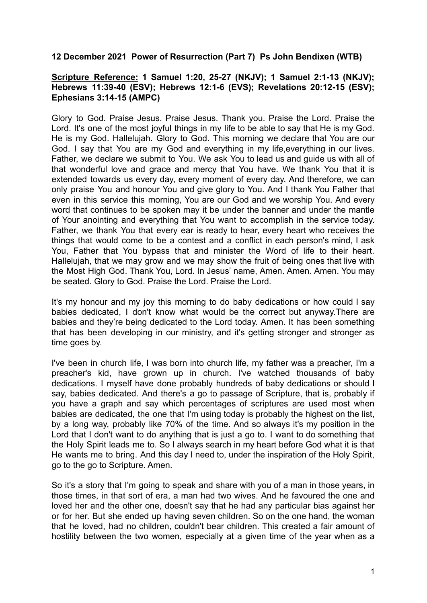# **12 December 2021 Power of Resurrection (Part 7) Ps John Bendixen (WTB)**

# **Scripture Reference: 1 Samuel 1:20, 25-27 (NKJV); 1 Samuel 2:1-13 (NKJV); Hebrews 11:39-40 (ESV); Hebrews 12:1-6 (EVS); Revelations 20:12-15 (ESV); Ephesians 3:14-15 (AMPC)**

Glory to God. Praise Jesus. Praise Jesus. Thank you. Praise the Lord. Praise the Lord. It's one of the most joyful things in my life to be able to say that He is my God. He is my God. Hallelujah. Glory to God. This morning we declare that You are our God. I say that You are my God and everything in my life,everything in our lives. Father, we declare we submit to You. We ask You to lead us and guide us with all of that wonderful love and grace and mercy that You have. We thank You that it is extended towards us every day, every moment of every day. And therefore, we can only praise You and honour You and give glory to You. And I thank You Father that even in this service this morning, You are our God and we worship You. And every word that continues to be spoken may it be under the banner and under the mantle of Your anointing and everything that You want to accomplish in the service today. Father, we thank You that every ear is ready to hear, every heart who receives the things that would come to be a contest and a conflict in each person's mind, I ask You, Father that You bypass that and minister the Word of life to their heart. Hallelujah, that we may grow and we may show the fruit of being ones that live with the Most High God. Thank You, Lord. In Jesus' name, Amen. Amen. Amen. You may be seated. Glory to God. Praise the Lord. Praise the Lord.

It's my honour and my joy this morning to do baby dedications or how could I say babies dedicated, I don't know what would be the correct but anyway.There are babies and they're being dedicated to the Lord today. Amen. It has been something that has been developing in our ministry, and it's getting stronger and stronger as time goes by.

I've been in church life, I was born into church life, my father was a preacher, I'm a preacher's kid, have grown up in church. I've watched thousands of baby dedications. I myself have done probably hundreds of baby dedications or should I say, babies dedicated. And there's a go to passage of Scripture, that is, probably if you have a graph and say which percentages of scriptures are used most when babies are dedicated, the one that I'm using today is probably the highest on the list, by a long way, probably like 70% of the time. And so always it's my position in the Lord that I don't want to do anything that is just a go to. I want to do something that the Holy Spirit leads me to. So I always search in my heart before God what it is that He wants me to bring. And this day I need to, under the inspiration of the Holy Spirit, go to the go to Scripture. Amen.

So it's a story that I'm going to speak and share with you of a man in those years, in those times, in that sort of era, a man had two wives. And he favoured the one and loved her and the other one, doesn't say that he had any particular bias against her or for her. But she ended up having seven children. So on the one hand, the woman that he loved, had no children, couldn't bear children. This created a fair amount of hostility between the two women, especially at a given time of the year when as a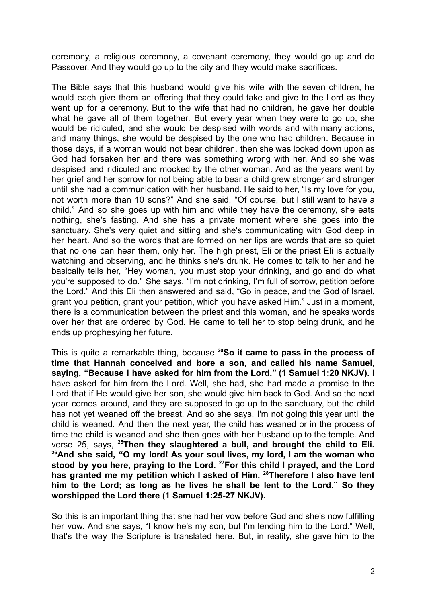ceremony, a religious ceremony, a covenant ceremony, they would go up and do Passover. And they would go up to the city and they would make sacrifices.

The Bible says that this husband would give his wife with the seven children, he would each give them an offering that they could take and give to the Lord as they went up for a ceremony. But to the wife that had no children, he gave her double what he gave all of them together. But every year when they were to go up, she would be ridiculed, and she would be despised with words and with many actions, and many things, she would be despised by the one who had children. Because in those days, if a woman would not bear children, then she was looked down upon as God had forsaken her and there was something wrong with her. And so she was despised and ridiculed and mocked by the other woman. And as the years went by her grief and her sorrow for not being able to bear a child grew stronger and stronger until she had a communication with her husband. He said to her, "Is my love for you, not worth more than 10 sons?" And she said, "Of course, but I still want to have a child." And so she goes up with him and while they have the ceremony, she eats nothing, she's fasting. And she has a private moment where she goes into the sanctuary. She's very quiet and sitting and she's communicating with God deep in her heart. And so the words that are formed on her lips are words that are so quiet that no one can hear them, only her. The high priest, Eli or the priest Eli is actually watching and observing, and he thinks she's drunk. He comes to talk to her and he basically tells her, "Hey woman, you must stop your drinking, and go and do what you're supposed to do." She says, "I'm not drinking, I'm full of sorrow, petition before the Lord." And this Eli then answered and said, "Go in peace, and the God of Israel, grant you petition, grant your petition, which you have asked Him." Just in a moment, there is a communication between the priest and this woman, and he speaks words over her that are ordered by God. He came to tell her to stop being drunk, and he ends up prophesying her future.

This is quite a remarkable thing, because **<sup>20</sup>So it came to pass in the process of time that Hannah conceived and bore a son, and called his name Samuel, saying, "Because I have asked for him from the Lord." (1 Samuel 1:20 NKJV).** I have asked for him from the Lord. Well, she had, she had made a promise to the Lord that if He would give her son, she would give him back to God. And so the next year comes around, and they are supposed to go up to the sanctuary, but the child has not yet weaned off the breast. And so she says, I'm not going this year until the child is weaned. And then the next year, the child has weaned or in the process of time the child is weaned and she then goes with her husband up to the temple. And verse 25, says, **<sup>25</sup>Then they slaughtered a bull, and brought the child to Eli. <sup>26</sup>And she said, "O my lord! As your soul lives, my lord, I am the woman who stood by you here, praying to the Lord. <sup>27</sup>For this child I prayed, and the Lord has granted me my petition which I asked of Him. <sup>28</sup>Therefore I also have lent him to the Lord; as long as he lives he shall be lent to the Lord." So they worshipped the Lord there (1 Samuel 1:25-27 NKJV).**

So this is an important thing that she had her vow before God and she's now fulfilling her vow. And she says, "I know he's my son, but I'm lending him to the Lord." Well, that's the way the Scripture is translated here. But, in reality, she gave him to the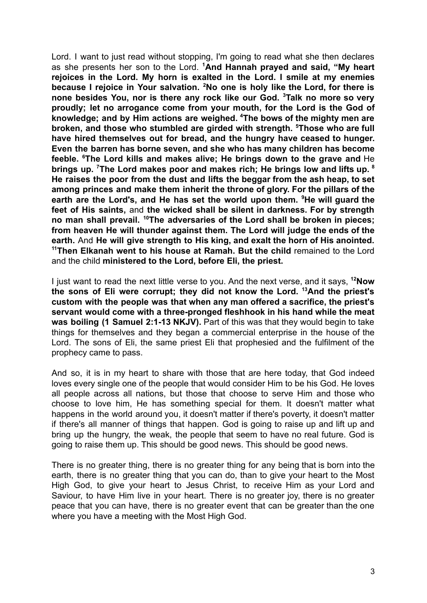Lord. I want to just read without stopping, I'm going to read what she then declares as she presents her son to the Lord. **<sup>1</sup>And Hannah prayed and said, "My heart rejoices in the Lord. My horn is exalted in the Lord. I smile at my enemies because I rejoice in Your salvation. <sup>2</sup>No one is holy like the Lord, for there is none besides You, nor is there any rock like our God. <sup>3</sup>Talk no more so very proudly; let no arrogance come from your mouth, for the Lord is the God of knowledge; and by Him actions are weighed. <sup>4</sup>The bows of the mighty men are broken, and those who stumbled are girded with strength. <sup>5</sup>Those who are full have hired themselves out for bread, and the hungry have ceased to hunger. Even the barren has borne seven, and she who has many children has become feeble. <sup>6</sup>The Lord kills and makes alive; He brings down to the grave and** He **brings up. <sup>7</sup>The Lord makes poor and makes rich; He brings low and lifts up. <sup>8</sup> He raises the poor from the dust and lifts the beggar from the ash heap, to set among princes and make them inherit the throne of glory. For the pillars of the earth are the Lord's, and He has set the world upon them. <sup>9</sup>He will guard the feet of His saints,** and **the wicked shall be silent in darkness. For by strength no man shall prevail. <sup>10</sup>The adversaries of the Lord shall be broken in pieces; from heaven He will thunder against them. The Lord will judge the ends of the earth.** And **He will give strength to His king, and exalt the horn of His anointed. <sup>11</sup>Then Elkanah went to his house at Ramah. But the child** remained to the Lord and the child **ministered to the Lord, before Eli, the priest.**

I just want to read the next little verse to you. And the next verse, and it says, **<sup>12</sup>Now the sons of Eli were corrupt; they did not know the Lord. <sup>13</sup>And the priest's custom with the people was that when any man offered a sacrifice, the priest's servant would come with a three-pronged fleshhook in his hand while the meat was boiling (1 Samuel 2:1-13 NKJV).** Part of this was that they would begin to take things for themselves and they began a commercial enterprise in the house of the Lord. The sons of Eli, the same priest Eli that prophesied and the fulfilment of the prophecy came to pass.

And so, it is in my heart to share with those that are here today, that God indeed loves every single one of the people that would consider Him to be his God. He loves all people across all nations, but those that choose to serve Him and those who choose to love him, He has something special for them. It doesn't matter what happens in the world around you, it doesn't matter if there's poverty, it doesn't matter if there's all manner of things that happen. God is going to raise up and lift up and bring up the hungry, the weak, the people that seem to have no real future. God is going to raise them up. This should be good news. This should be good news.

There is no greater thing, there is no greater thing for any being that is born into the earth, there is no greater thing that you can do, than to give your heart to the Most High God, to give your heart to Jesus Christ, to receive Him as your Lord and Saviour, to have Him live in your heart. There is no greater joy, there is no greater peace that you can have, there is no greater event that can be greater than the one where you have a meeting with the Most High God.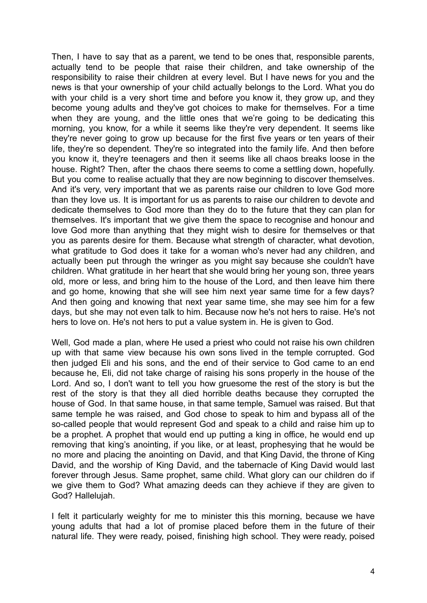Then, I have to say that as a parent, we tend to be ones that, responsible parents, actually tend to be people that raise their children, and take ownership of the responsibility to raise their children at every level. But I have news for you and the news is that your ownership of your child actually belongs to the Lord. What you do with your child is a very short time and before you know it, they grow up, and they become young adults and they've got choices to make for themselves. For a time when they are young, and the little ones that we're going to be dedicating this morning, you know, for a while it seems like they're very dependent. It seems like they're never going to grow up because for the first five years or ten years of their life, they're so dependent. They're so integrated into the family life. And then before you know it, they're teenagers and then it seems like all chaos breaks loose in the house. Right? Then, after the chaos there seems to come a settling down, hopefully. But you come to realise actually that they are now beginning to discover themselves. And it's very, very important that we as parents raise our children to love God more than they love us. It is important for us as parents to raise our children to devote and dedicate themselves to God more than they do to the future that they can plan for themselves. It's important that we give them the space to recognise and honour and love God more than anything that they might wish to desire for themselves or that you as parents desire for them. Because what strength of character, what devotion, what gratitude to God does it take for a woman who's never had any children, and actually been put through the wringer as you might say because she couldn't have children. What gratitude in her heart that she would bring her young son, three years old, more or less, and bring him to the house of the Lord, and then leave him there and go home, knowing that she will see him next year same time for a few days? And then going and knowing that next year same time, she may see him for a few days, but she may not even talk to him. Because now he's not hers to raise. He's not hers to love on. He's not hers to put a value system in. He is given to God.

Well, God made a plan, where He used a priest who could not raise his own children up with that same view because his own sons lived in the temple corrupted. God then judged Eli and his sons, and the end of their service to God came to an end because he, Eli, did not take charge of raising his sons properly in the house of the Lord. And so, I don't want to tell you how gruesome the rest of the story is but the rest of the story is that they all died horrible deaths because they corrupted the house of God. In that same house, in that same temple, Samuel was raised. But that same temple he was raised, and God chose to speak to him and bypass all of the so-called people that would represent God and speak to a child and raise him up to be a prophet. A prophet that would end up putting a king in office, he would end up removing that king's anointing, if you like, or at least, prophesying that he would be no more and placing the anointing on David, and that King David, the throne of King David, and the worship of King David, and the tabernacle of King David would last forever through Jesus. Same prophet, same child. What glory can our children do if we give them to God? What amazing deeds can they achieve if they are given to God? Hallelujah.

I felt it particularly weighty for me to minister this this morning, because we have young adults that had a lot of promise placed before them in the future of their natural life. They were ready, poised, finishing high school. They were ready, poised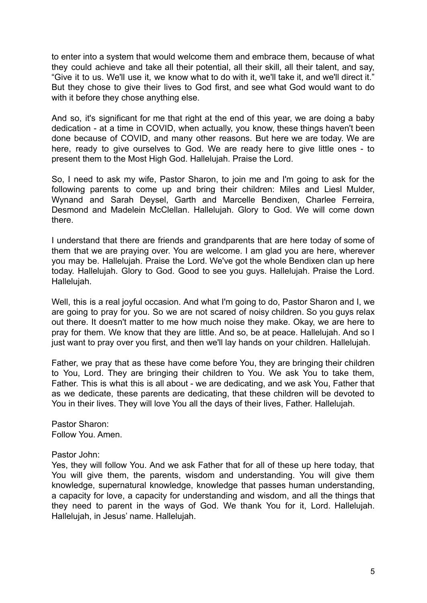to enter into a system that would welcome them and embrace them, because of what they could achieve and take all their potential, all their skill, all their talent, and say, "Give it to us. We'll use it, we know what to do with it, we'll take it, and we'll direct it." But they chose to give their lives to God first, and see what God would want to do with it before they chose anything else.

And so, it's significant for me that right at the end of this year, we are doing a baby dedication - at a time in COVID, when actually, you know, these things haven't been done because of COVID, and many other reasons. But here we are today. We are here, ready to give ourselves to God. We are ready here to give little ones - to present them to the Most High God. Hallelujah. Praise the Lord.

So, I need to ask my wife, Pastor Sharon, to join me and I'm going to ask for the following parents to come up and bring their children: Miles and Liesl Mulder, Wynand and Sarah Deysel, Garth and Marcelle Bendixen, Charlee Ferreira, Desmond and Madelein McClellan. Hallelujah. Glory to God. We will come down there.

I understand that there are friends and grandparents that are here today of some of them that we are praying over. You are welcome. I am glad you are here, wherever you may be. Hallelujah. Praise the Lord. We've got the whole Bendixen clan up here today. Hallelujah. Glory to God. Good to see you guys. Hallelujah. Praise the Lord. Hallelujah.

Well, this is a real joyful occasion. And what I'm going to do, Pastor Sharon and I, we are going to pray for you. So we are not scared of noisy children. So you guys relax out there. It doesn't matter to me how much noise they make. Okay, we are here to pray for them. We know that they are little. And so, be at peace. Hallelujah. And so I just want to pray over you first, and then we'll lay hands on your children. Hallelujah.

Father, we pray that as these have come before You, they are bringing their children to You, Lord. They are bringing their children to You. We ask You to take them, Father. This is what this is all about - we are dedicating, and we ask You, Father that as we dedicate, these parents are dedicating, that these children will be devoted to You in their lives. They will love You all the days of their lives, Father. Hallelujah.

Pastor Sharon: Follow You. Amen.

## Pastor John:

Yes, they will follow You. And we ask Father that for all of these up here today, that You will give them, the parents, wisdom and understanding. You will give them knowledge, supernatural knowledge, knowledge that passes human understanding, a capacity for love, a capacity for understanding and wisdom, and all the things that they need to parent in the ways of God. We thank You for it, Lord. Hallelujah. Hallelujah, in Jesus' name. Hallelujah.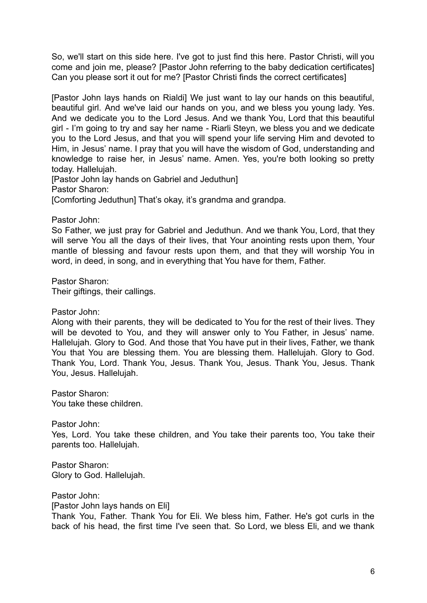So, we'll start on this side here. I've got to just find this here. Pastor Christi, will you come and join me, please? [Pastor John referring to the baby dedication certificates] Can you please sort it out for me? [Pastor Christi finds the correct certificates]

[Pastor John lays hands on Rialdi] We just want to lay our hands on this beautiful, beautiful girl. And we've laid our hands on you, and we bless you young lady. Yes. And we dedicate you to the Lord Jesus. And we thank You, Lord that this beautiful girl - I'm going to try and say her name - Riarli Steyn, we bless you and we dedicate you to the Lord Jesus, and that you will spend your life serving Him and devoted to Him, in Jesus' name. I pray that you will have the wisdom of God, understanding and knowledge to raise her, in Jesus' name. Amen. Yes, you're both looking so pretty today. Hallelujah.

[Pastor John lay hands on Gabriel and Jeduthun] Pastor Sharon: [Comforting Jeduthun] That's okay, it's grandma and grandpa.

Pastor John:

So Father, we just pray for Gabriel and Jeduthun. And we thank You, Lord, that they will serve You all the days of their lives, that Your anointing rests upon them. Your mantle of blessing and favour rests upon them, and that they will worship You in word, in deed, in song, and in everything that You have for them, Father.

Pastor Sharon: Their giftings, their callings.

Pastor John:

Along with their parents, they will be dedicated to You for the rest of their lives. They will be devoted to You, and they will answer only to You Father, in Jesus' name. Hallelujah. Glory to God. And those that You have put in their lives, Father, we thank You that You are blessing them. You are blessing them. Hallelujah. Glory to God. Thank You, Lord. Thank You, Jesus. Thank You, Jesus. Thank You, Jesus. Thank You, Jesus. Hallelujah.

Pastor Sharon: You take these children.

Pastor John: Yes, Lord. You take these children, and You take their parents too, You take their parents too. Hallelujah.

Pastor Sharon: Glory to God. Hallelujah.

Pastor John: [Pastor John lays hands on Eli] Thank You, Father. Thank You for Eli. We bless him, Father. He's got curls in the back of his head, the first time I've seen that. So Lord, we bless Eli, and we thank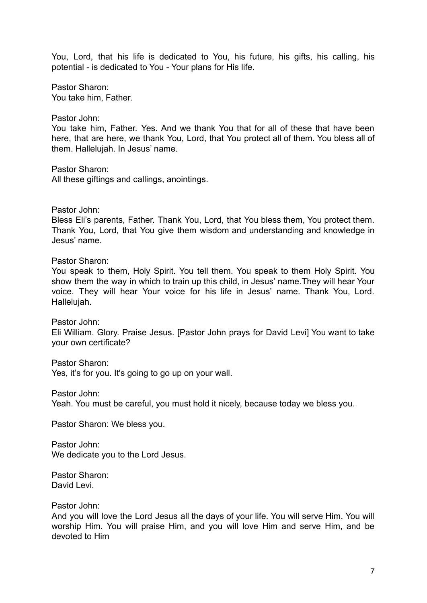You, Lord, that his life is dedicated to You, his future, his gifts, his calling, his potential - is dedicated to You - Your plans for His life.

Pastor Sharon: You take him, Father.

Pastor John:

You take him, Father. Yes. And we thank You that for all of these that have been here, that are here, we thank You, Lord, that You protect all of them. You bless all of them. Hallelujah. In Jesus' name.

Pastor Sharon: All these giftings and callings, anointings.

Pastor John:

Bless Eli's parents, Father. Thank You, Lord, that You bless them, You protect them. Thank You, Lord, that You give them wisdom and understanding and knowledge in Jesus' name.

Pastor Sharon:

You speak to them, Holy Spirit. You tell them. You speak to them Holy Spirit. You show them the way in which to train up this child, in Jesus' name.They will hear Your voice. They will hear Your voice for his life in Jesus' name. Thank You, Lord. Hallelujah.

Pastor John: Eli William. Glory. Praise Jesus. [Pastor John prays for David Levi] You want to take your own certificate?

Pastor Sharon: Yes, it's for you. It's going to go up on your wall.

Pastor John: Yeah. You must be careful, you must hold it nicely, because today we bless you.

Pastor Sharon: We bless you.

Pastor John: We dedicate you to the Lord Jesus.

Pastor Sharon: David Levi.

Pastor John:

And you will love the Lord Jesus all the days of your life. You will serve Him. You will worship Him. You will praise Him, and you will love Him and serve Him, and be devoted to Him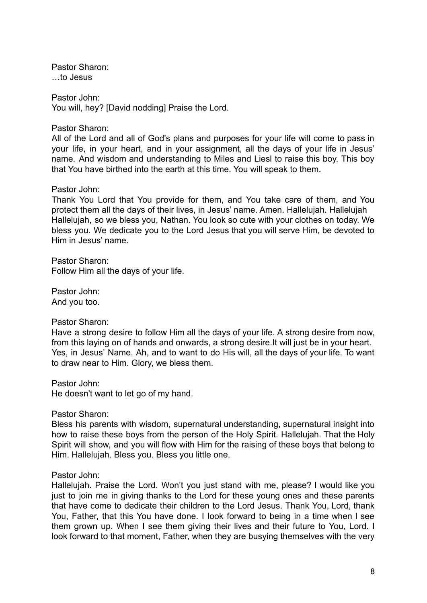Pastor Sharon: …to Jesus

Pastor John: You will, hey? [David nodding] Praise the Lord.

Pastor Sharon:

All of the Lord and all of God's plans and purposes for your life will come to pass in your life, in your heart, and in your assignment, all the days of your life in Jesus' name. And wisdom and understanding to Miles and Liesl to raise this boy. This boy that You have birthed into the earth at this time. You will speak to them.

### Pastor John:

Thank You Lord that You provide for them, and You take care of them, and You protect them all the days of their lives, in Jesus' name. Amen. Hallelujah. Hallelujah Hallelujah, so we bless you, Nathan. You look so cute with your clothes on today. We bless you. We dedicate you to the Lord Jesus that you will serve Him, be devoted to Him in Jesus' name.

Pastor Sharon: Follow Him all the days of your life.

Pastor John: And you too.

## Pastor Sharon:

Have a strong desire to follow Him all the days of your life. A strong desire from now, from this laying on of hands and onwards, a strong desire.It will just be in your heart. Yes, in Jesus' Name. Ah, and to want to do His will, all the days of your life. To want to draw near to Him. Glory, we bless them.

Pastor John:

He doesn't want to let go of my hand.

Pastor Sharon:

Bless his parents with wisdom, supernatural understanding, supernatural insight into how to raise these boys from the person of the Holy Spirit. Hallelujah. That the Holy Spirit will show, and you will flow with Him for the raising of these boys that belong to Him. Hallelujah. Bless you. Bless you little one.

#### Pastor John:

Hallelujah. Praise the Lord. Won't you just stand with me, please? I would like you just to join me in giving thanks to the Lord for these young ones and these parents that have come to dedicate their children to the Lord Jesus. Thank You, Lord, thank You, Father, that this You have done. I look forward to being in a time when I see them grown up. When I see them giving their lives and their future to You, Lord. I look forward to that moment, Father, when they are busying themselves with the very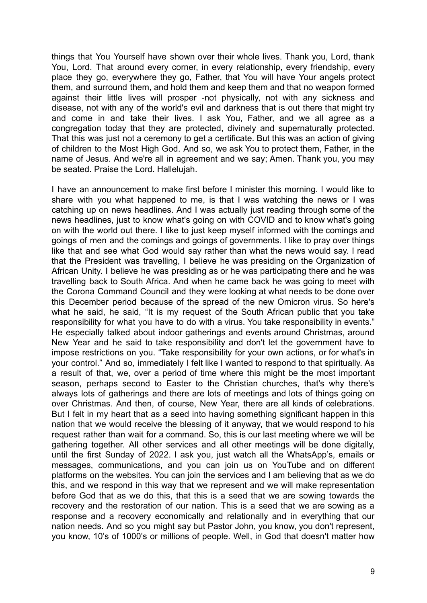things that You Yourself have shown over their whole lives. Thank you, Lord, thank You, Lord. That around every corner, in every relationship, every friendship, every place they go, everywhere they go, Father, that You will have Your angels protect them, and surround them, and hold them and keep them and that no weapon formed against their little lives will prosper -not physically, not with any sickness and disease, not with any of the world's evil and darkness that is out there that might try and come in and take their lives. I ask You, Father, and we all agree as a congregation today that they are protected, divinely and supernaturally protected. That this was just not a ceremony to get a certificate. But this was an action of giving of children to the Most High God. And so, we ask You to protect them, Father, in the name of Jesus. And we're all in agreement and we say; Amen. Thank you, you may be seated. Praise the Lord. Hallelujah.

I have an announcement to make first before I minister this morning. I would like to share with you what happened to me, is that I was watching the news or I was catching up on news headlines. And I was actually just reading through some of the news headlines, just to know what's going on with COVID and to know what's going on with the world out there. I like to just keep myself informed with the comings and goings of men and the comings and goings of governments. I like to pray over things like that and see what God would say rather than what the news would say. I read that the President was travelling, I believe he was presiding on the Organization of African Unity. I believe he was presiding as or he was participating there and he was travelling back to South Africa. And when he came back he was going to meet with the Corona Command Council and they were looking at what needs to be done over this December period because of the spread of the new Omicron virus. So here's what he said, he said, "It is my request of the South African public that you take responsibility for what you have to do with a virus. You take responsibility in events." He especially talked about indoor gatherings and events around Christmas, around New Year and he said to take responsibility and don't let the government have to impose restrictions on you. "Take responsibility for your own actions, or for what's in your control." And so, immediately I felt like I wanted to respond to that spiritually. As a result of that, we, over a period of time where this might be the most important season, perhaps second to Easter to the Christian churches, that's why there's always lots of gatherings and there are lots of meetings and lots of things going on over Christmas. And then, of course, New Year, there are all kinds of celebrations. But I felt in my heart that as a seed into having something significant happen in this nation that we would receive the blessing of it anyway, that we would respond to his request rather than wait for a command. So, this is our last meeting where we will be gathering together. All other services and all other meetings will be done digitally, until the first Sunday of 2022. I ask you, just watch all the WhatsApp's, emails or messages, communications, and you can join us on YouTube and on different platforms on the websites. You can join the services and I am believing that as we do this, and we respond in this way that we represent and we will make representation before God that as we do this, that this is a seed that we are sowing towards the recovery and the restoration of our nation. This is a seed that we are sowing as a response and a recovery economically and relationally and in everything that our nation needs. And so you might say but Pastor John, you know, you don't represent, you know, 10's of 1000's or millions of people. Well, in God that doesn't matter how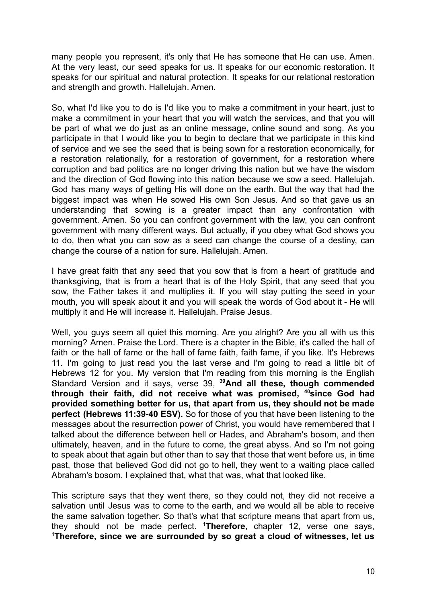many people you represent, it's only that He has someone that He can use. Amen. At the very least, our seed speaks for us. It speaks for our economic restoration. It speaks for our spiritual and natural protection. It speaks for our relational restoration and strength and growth. Hallelujah. Amen.

So, what I'd like you to do is I'd like you to make a commitment in your heart, just to make a commitment in your heart that you will watch the services, and that you will be part of what we do just as an online message, online sound and song. As you participate in that I would like you to begin to declare that we participate in this kind of service and we see the seed that is being sown for a restoration economically, for a restoration relationally, for a restoration of government, for a restoration where corruption and bad politics are no longer driving this nation but we have the wisdom and the direction of God flowing into this nation because we sow a seed. Hallelujah. God has many ways of getting His will done on the earth. But the way that had the biggest impact was when He sowed His own Son Jesus. And so that gave us an understanding that sowing is a greater impact than any confrontation with government. Amen. So you can confront government with the law, you can confront government with many different ways. But actually, if you obey what God shows you to do, then what you can sow as a seed can change the course of a destiny, can change the course of a nation for sure. Hallelujah. Amen.

I have great faith that any seed that you sow that is from a heart of gratitude and thanksgiving, that is from a heart that is of the Holy Spirit, that any seed that you sow, the Father takes it and multiplies it. If you will stay putting the seed in your mouth, you will speak about it and you will speak the words of God about it - He will multiply it and He will increase it. Hallelujah. Praise Jesus.

Well, you guys seem all quiet this morning. Are you alright? Are you all with us this morning? Amen. Praise the Lord. There is a chapter in the Bible, it's called the hall of faith or the hall of fame or the hall of fame faith, faith fame, if you like. It's Hebrews 11. I'm going to just read you the last verse and I'm going to read a little bit of Hebrews 12 for you. My version that I'm reading from this morning is the English Standard Version and it says, verse 39, **<sup>39</sup>And all these, though commended through their faith, did not receive what was promised, <sup>40</sup>since God had provided something better for us, that apart from us, they should not be made perfect (Hebrews 11:39-40 ESV).** So for those of you that have been listening to the messages about the resurrection power of Christ, you would have remembered that I talked about the difference between hell or Hades, and Abraham's bosom, and then ultimately, heaven, and in the future to come, the great abyss. And so I'm not going to speak about that again but other than to say that those that went before us, in time past, those that believed God did not go to hell, they went to a waiting place called Abraham's bosom. I explained that, what that was, what that looked like.

This scripture says that they went there, so they could not, they did not receive a salvation until Jesus was to come to the earth, and we would all be able to receive the same salvation together. So that's what that scripture means that apart from us, they should not be made perfect. **<sup>1</sup>Therefore**, chapter 12, verse one says, **<sup>1</sup>Therefore, since we are surrounded by so great a cloud of witnesses, let us**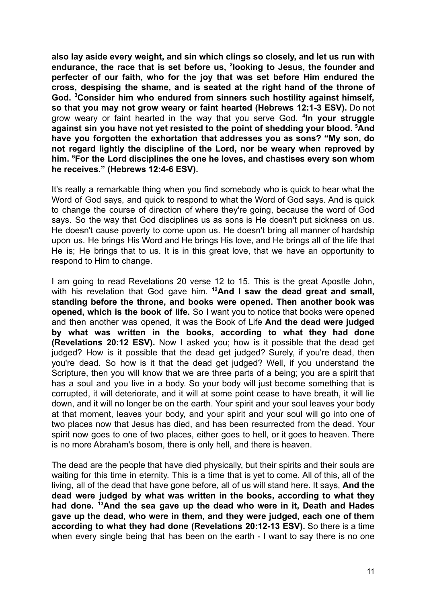**also lay aside every weight, and sin which clings so closely, and let us run with endurance, the race that is set before us, <sup>2</sup> looking to Jesus, the founder and perfecter of our faith, who for the joy that was set before Him endured the cross, despising the shame, and is seated at the right hand of the throne of God. <sup>3</sup>Consider him who endured from sinners such hostility against himself, so that you may not grow weary or faint hearted (Hebrews 12:1-3 ESV).** Do not grow weary or faint hearted in the way that you serve God. **<sup>4</sup> In your struggle against sin you have not yet resisted to the point of shedding your blood. <sup>5</sup>And have you forgotten the exhortation that addresses you as sons? "My son, do not regard lightly the discipline of the Lord, nor be weary when reproved by him. <sup>6</sup>For the Lord disciplines the one he loves, and chastises every son whom he receives." (Hebrews 12:4-6 ESV).**

It's really a remarkable thing when you find somebody who is quick to hear what the Word of God says, and quick to respond to what the Word of God says. And is quick to change the course of direction of where they're going, because the word of God says. So the way that God disciplines us as sons is He doesn't put sickness on us. He doesn't cause poverty to come upon us. He doesn't bring all manner of hardship upon us. He brings His Word and He brings His love, and He brings all of the life that He is; He brings that to us. It is in this great love, that we have an opportunity to respond to Him to change.

I am going to read Revelations 20 verse 12 to 15. This is the great Apostle John, with his revelation that God gave him. **<sup>12</sup>And I saw the dead great and small, standing before the throne, and books were opened. Then another book was opened, which is the book of life.** So I want you to notice that books were opened and then another was opened, it was the Book of Life **And the dead were judged by what was written in the books, according to what they had done (Revelations 20:12 ESV).** Now I asked you; how is it possible that the dead get judged? How is it possible that the dead get judged? Surely, if you're dead, then you're dead. So how is it that the dead get judged? Well, if you understand the Scripture, then you will know that we are three parts of a being; you are a spirit that has a soul and you live in a body. So your body will just become something that is corrupted, it will deteriorate, and it will at some point cease to have breath, it will lie down, and it will no longer be on the earth. Your spirit and your soul leaves your body at that moment, leaves your body, and your spirit and your soul will go into one of two places now that Jesus has died, and has been resurrected from the dead. Your spirit now goes to one of two places, either goes to hell, or it goes to heaven. There is no more Abraham's bosom, there is only hell, and there is heaven.

The dead are the people that have died physically, but their spirits and their souls are waiting for this time in eternity. This is a time that is yet to come. All of this, all of the living, all of the dead that have gone before, all of us will stand here. It says, **And the dead were judged by what was written in the books, according to what they had done. <sup>13</sup>And the sea gave up the dead who were in it, Death and Hades gave up the dead, who were in them, and they were judged, each one of them according to what they had done (Revelations 20:12-13 ESV).** So there is a time when every single being that has been on the earth - I want to say there is no one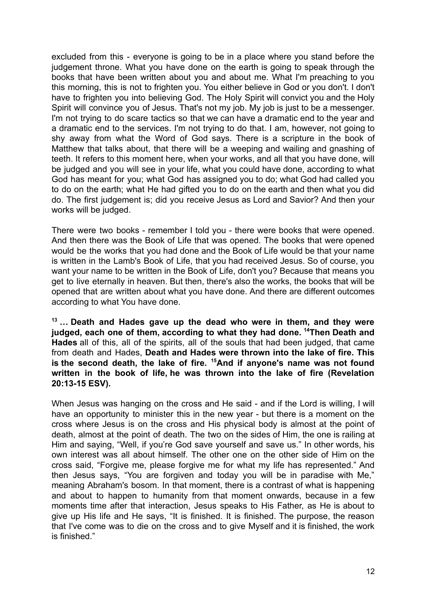excluded from this - everyone is going to be in a place where you stand before the judgement throne. What you have done on the earth is going to speak through the books that have been written about you and about me. What I'm preaching to you this morning, this is not to frighten you. You either believe in God or you don't. I don't have to frighten you into believing God. The Holy Spirit will convict you and the Holy Spirit will convince you of Jesus. That's not my job. My job is just to be a messenger. I'm not trying to do scare tactics so that we can have a dramatic end to the year and a dramatic end to the services. I'm not trying to do that. I am, however, not going to shy away from what the Word of God says. There is a scripture in the book of Matthew that talks about, that there will be a weeping and wailing and gnashing of teeth. It refers to this moment here, when your works, and all that you have done, will be judged and you will see in your life, what you could have done, according to what God has meant for you; what God has assigned you to do; what God had called you to do on the earth; what He had gifted you to do on the earth and then what you did do. The first judgement is; did you receive Jesus as Lord and Savior? And then your works will be judged.

There were two books - remember I told you - there were books that were opened. And then there was the Book of Life that was opened. The books that were opened would be the works that you had done and the Book of Life would be that your name is written in the Lamb's Book of Life, that you had received Jesus. So of course, you want your name to be written in the Book of Life, don't you? Because that means you get to live eternally in heaven. But then, there's also the works, the books that will be opened that are written about what you have done. And there are different outcomes according to what You have done.

**<sup>13</sup> … Death and Hades gave up the dead who were in them, and they were judged, each one of them, according to what they had done. <sup>14</sup>Then Death and Hades** all of this, all of the spirits, all of the souls that had been judged, that came from death and Hades, **Death and Hades were thrown into the lake of fire. This is the second death, the lake of fire. <sup>15</sup>And if anyone's name was not found written in the book of life, he was thrown into the lake of fire (Revelation 20:13-15 ESV).**

When Jesus was hanging on the cross and He said - and if the Lord is willing, I will have an opportunity to minister this in the new year - but there is a moment on the cross where Jesus is on the cross and His physical body is almost at the point of death, almost at the point of death. The two on the sides of Him, the one is railing at Him and saying, "Well, if you're God save yourself and save us." In other words, his own interest was all about himself. The other one on the other side of Him on the cross said, "Forgive me, please forgive me for what my life has represented." And then Jesus says, "You are forgiven and today you will be in paradise with Me," meaning Abraham's bosom. In that moment, there is a contrast of what is happening and about to happen to humanity from that moment onwards, because in a few moments time after that interaction, Jesus speaks to His Father, as He is about to give up His life and He says, "It is finished. It is finished. The purpose, the reason that I've come was to die on the cross and to give Myself and it is finished, the work is finished."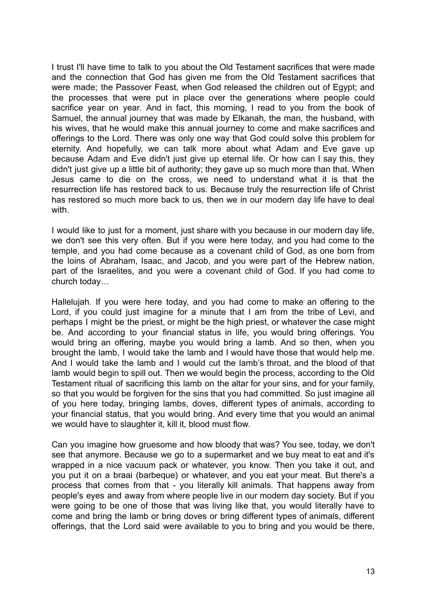I trust I'll have time to talk to you about the Old Testament sacrifices that were made and the connection that God has given me from the Old Testament sacrifices that were made; the Passover Feast, when God released the children out of Egypt; and the processes that were put in place over the generations where people could sacrifice year on year. And in fact, this morning, I read to you from the book of Samuel, the annual journey that was made by Elkanah, the man, the husband, with his wives, that he would make this annual journey to come and make sacrifices and offerings to the Lord. There was only one way that God could solve this problem for eternity. And hopefully, we can talk more about what Adam and Eve gave up because Adam and Eve didn't just give up eternal life. Or how can I say this, they didn't just give up a little bit of authority; they gave up so much more than that. When Jesus came to die on the cross, we need to understand what it is that the resurrection life has restored back to us. Because truly the resurrection life of Christ has restored so much more back to us, then we in our modern day life have to deal with.

I would like to just for a moment, just share with you because in our modern day life, we don't see this very often. But if you were here today, and you had come to the temple, and you had come because as a covenant child of God, as one born from the loins of Abraham, Isaac, and Jacob, and you were part of the Hebrew nation, part of the Israelites, and you were a covenant child of God. If you had come to church today…

Hallelujah. If you were here today, and you had come to make an offering to the Lord, if you could just imagine for a minute that I am from the tribe of Levi, and perhaps I might be the priest, or might be the high priest, or whatever the case might be. And according to your financial status in life, you would bring offerings. You would bring an offering, maybe you would bring a lamb. And so then, when you brought the lamb, I would take the lamb and I would have those that would help me. And I would take the lamb and I would cut the lamb's throat, and the blood of that lamb would begin to spill out. Then we would begin the process, according to the Old Testament ritual of sacrificing this lamb on the altar for your sins, and for your family, so that you would be forgiven for the sins that you had committed. So just imagine all of you here today, bringing lambs, doves, different types of animals, according to your financial status, that you would bring. And every time that you would an animal we would have to slaughter it, kill it, blood must flow.

Can you imagine how gruesome and how bloody that was? You see, today, we don't see that anymore. Because we go to a supermarket and we buy meat to eat and it's wrapped in a nice vacuum pack or whatever, you know. Then you take it out, and you put it on a braai (barbeque) or whatever, and you eat your meat. But there's a process that comes from that - you literally kill animals. That happens away from people's eyes and away from where people live in our modern day society. But if you were going to be one of those that was living like that, you would literally have to come and bring the lamb or bring doves or bring different types of animals, different offerings, that the Lord said were available to you to bring and you would be there,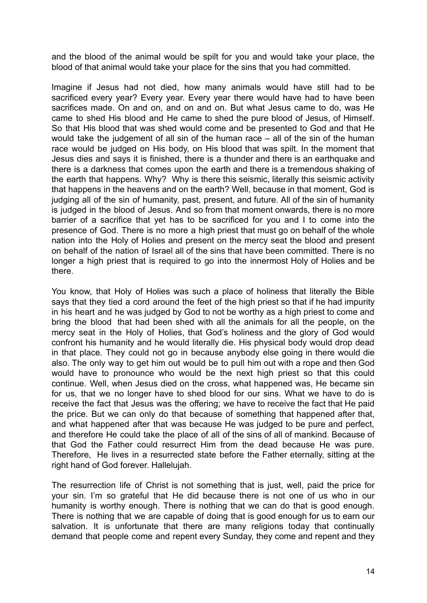and the blood of the animal would be spilt for you and would take your place, the blood of that animal would take your place for the sins that you had committed.

Imagine if Jesus had not died, how many animals would have still had to be sacrificed every year? Every year. Every year there would have had to have been sacrifices made. On and on, and on and on. But what Jesus came to do, was He came to shed His blood and He came to shed the pure blood of Jesus, of Himself. So that His blood that was shed would come and be presented to God and that He would take the judgement of all sin of the human race – all of the sin of the human race would be judged on His body, on His blood that was spilt. In the moment that Jesus dies and says it is finished, there is a thunder and there is an earthquake and there is a darkness that comes upon the earth and there is a tremendous shaking of the earth that happens. Why? Why is there this seismic, literally this seismic activity that happens in the heavens and on the earth? Well, because in that moment, God is judging all of the sin of humanity, past, present, and future. All of the sin of humanity is judged in the blood of Jesus. And so from that moment onwards, there is no more barrier of a sacrifice that yet has to be sacrificed for you and I to come into the presence of God. There is no more a high priest that must go on behalf of the whole nation into the Holy of Holies and present on the mercy seat the blood and present on behalf of the nation of Israel all of the sins that have been committed. There is no longer a high priest that is required to go into the innermost Holy of Holies and be there.

You know, that Holy of Holies was such a place of holiness that literally the Bible says that they tied a cord around the feet of the high priest so that if he had impurity in his heart and he was judged by God to not be worthy as a high priest to come and bring the blood that had been shed with all the animals for all the people, on the mercy seat in the Holy of Holies, that God's holiness and the glory of God would confront his humanity and he would literally die. His physical body would drop dead in that place. They could not go in because anybody else going in there would die also. The only way to get him out would be to pull him out with a rope and then God would have to pronounce who would be the next high priest so that this could continue. Well, when Jesus died on the cross, what happened was, He became sin for us, that we no longer have to shed blood for our sins. What we have to do is receive the fact that Jesus was the offering; we have to receive the fact that He paid the price. But we can only do that because of something that happened after that, and what happened after that was because He was judged to be pure and perfect, and therefore He could take the place of all of the sins of all of mankind. Because of that God the Father could resurrect Him from the dead because He was pure. Therefore, He lives in a resurrected state before the Father eternally, sitting at the right hand of God forever. Hallelujah.

The resurrection life of Christ is not something that is just, well, paid the price for your sin. I'm so grateful that He did because there is not one of us who in our humanity is worthy enough. There is nothing that we can do that is good enough. There is nothing that we are capable of doing that is good enough for us to earn our salvation. It is unfortunate that there are many religions today that continually demand that people come and repent every Sunday, they come and repent and they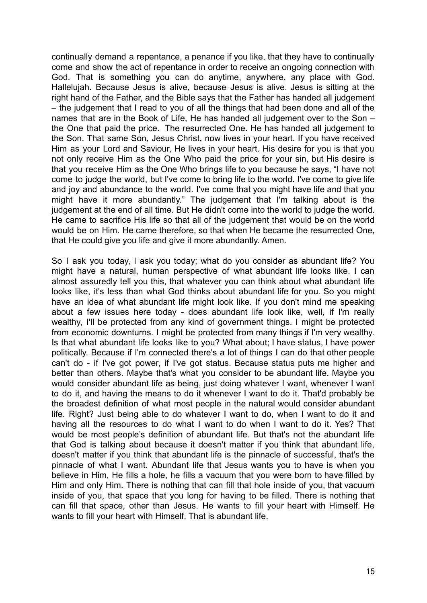continually demand a repentance, a penance if you like, that they have to continually come and show the act of repentance in order to receive an ongoing connection with God. That is something you can do anytime, anywhere, any place with God. Hallelujah. Because Jesus is alive, because Jesus is alive. Jesus is sitting at the right hand of the Father, and the Bible says that the Father has handed all judgement – the judgement that I read to you of all the things that had been done and all of the names that are in the Book of Life, He has handed all judgement over to the Son – the One that paid the price. The resurrected One. He has handed all judgement to the Son. That same Son, Jesus Christ, now lives in your heart. If you have received Him as your Lord and Saviour, He lives in your heart. His desire for you is that you not only receive Him as the One Who paid the price for your sin, but His desire is that you receive Him as the One Who brings life to you because he says, "I have not come to judge the world, but I've come to bring life to the world. I've come to give life and joy and abundance to the world. I've come that you might have life and that you might have it more abundantly." The judgement that I'm talking about is the judgement at the end of all time. But He didn't come into the world to judge the world. He came to sacrifice His life so that all of the judgement that would be on the world would be on Him. He came therefore, so that when He became the resurrected One, that He could give you life and give it more abundantly. Amen.

So I ask you today, I ask you today; what do you consider as abundant life? You might have a natural, human perspective of what abundant life looks like. I can almost assuredly tell you this, that whatever you can think about what abundant life looks like, it's less than what God thinks about abundant life for you. So you might have an idea of what abundant life might look like. If you don't mind me speaking about a few issues here today - does abundant life look like, well, if I'm really wealthy, I'll be protected from any kind of government things. I might be protected from economic downturns. I might be protected from many things if I'm very wealthy. Is that what abundant life looks like to you? What about; I have status, I have power politically. Because if I'm connected there's a lot of things I can do that other people can't do - if I've got power, if I've got status. Because status puts me higher and better than others. Maybe that's what you consider to be abundant life. Maybe you would consider abundant life as being, just doing whatever I want, whenever I want to do it, and having the means to do it whenever I want to do it. That'd probably be the broadest definition of what most people in the natural would consider abundant life. Right? Just being able to do whatever I want to do, when I want to do it and having all the resources to do what I want to do when I want to do it. Yes? That would be most people's definition of abundant life. But that's not the abundant life that God is talking about because it doesn't matter if you think that abundant life, doesn't matter if you think that abundant life is the pinnacle of successful, that's the pinnacle of what I want. Abundant life that Jesus wants you to have is when you believe in Him, He fills a hole, he fills a vacuum that you were born to have filled by Him and only Him. There is nothing that can fill that hole inside of you, that vacuum inside of you, that space that you long for having to be filled. There is nothing that can fill that space, other than Jesus. He wants to fill your heart with Himself. He wants to fill your heart with Himself. That is abundant life.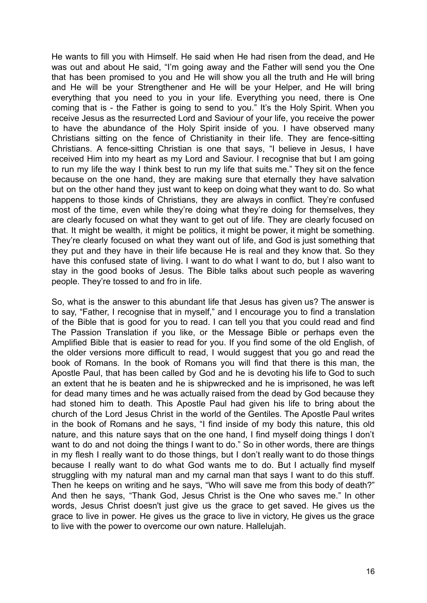He wants to fill you with Himself. He said when He had risen from the dead, and He was out and about He said, "I'm going away and the Father will send you the One that has been promised to you and He will show you all the truth and He will bring and He will be your Strengthener and He will be your Helper, and He will bring everything that you need to you in your life. Everything you need, there is One coming that is - the Father is going to send to you." It's the Holy Spirit. When you receive Jesus as the resurrected Lord and Saviour of your life, you receive the power to have the abundance of the Holy Spirit inside of you. I have observed many Christians sitting on the fence of Christianity in their life. They are fence-sitting Christians. A fence-sitting Christian is one that says, "I believe in Jesus, I have received Him into my heart as my Lord and Saviour. I recognise that but I am going to run my life the way I think best to run my life that suits me." They sit on the fence because on the one hand, they are making sure that eternally they have salvation but on the other hand they just want to keep on doing what they want to do. So what happens to those kinds of Christians, they are always in conflict. They're confused most of the time, even while they're doing what they're doing for themselves, they are clearly focused on what they want to get out of life. They are clearly focused on that. It might be wealth, it might be politics, it might be power, it might be something. They're clearly focused on what they want out of life, and God is just something that they put and they have in their life because He is real and they know that. So they have this confused state of living. I want to do what I want to do, but I also want to stay in the good books of Jesus. The Bible talks about such people as wavering people. They're tossed to and fro in life.

So, what is the answer to this abundant life that Jesus has given us? The answer is to say, "Father, I recognise that in myself," and I encourage you to find a translation of the Bible that is good for you to read. I can tell you that you could read and find The Passion Translation if you like, or the Message Bible or perhaps even the Amplified Bible that is easier to read for you. If you find some of the old English, of the older versions more difficult to read, I would suggest that you go and read the book of Romans. In the book of Romans you will find that there is this man, the Apostle Paul, that has been called by God and he is devoting his life to God to such an extent that he is beaten and he is shipwrecked and he is imprisoned, he was left for dead many times and he was actually raised from the dead by God because they had stoned him to death. This Apostle Paul had given his life to bring about the church of the Lord Jesus Christ in the world of the Gentiles. The Apostle Paul writes in the book of Romans and he says, "I find inside of my body this nature, this old nature, and this nature says that on the one hand, I find myself doing things I don't want to do and not doing the things I want to do." So in other words, there are things in my flesh I really want to do those things, but I don't really want to do those things because I really want to do what God wants me to do. But I actually find myself struggling with my natural man and my carnal man that says I want to do this stuff. Then he keeps on writing and he says, "Who will save me from this body of death?" And then he says, "Thank God, Jesus Christ is the One who saves me." In other words, Jesus Christ doesn't just give us the grace to get saved. He gives us the grace to live in power. He gives us the grace to live in victory, He gives us the grace to live with the power to overcome our own nature. Hallelujah.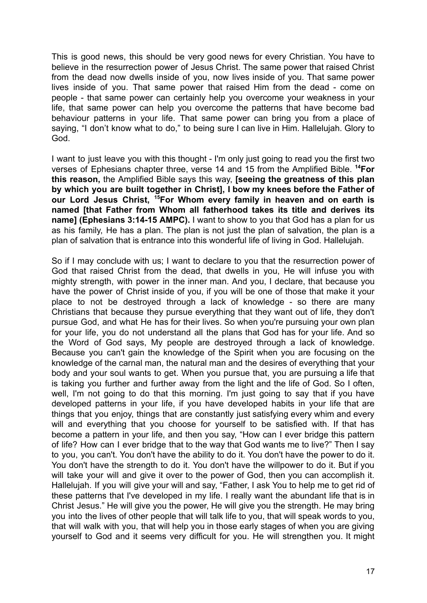This is good news, this should be very good news for every Christian. You have to believe in the resurrection power of Jesus Christ. The same power that raised Christ from the dead now dwells inside of you, now lives inside of you. That same power lives inside of you. That same power that raised Him from the dead - come on people - that same power can certainly help you overcome your weakness in your life, that same power can help you overcome the patterns that have become bad behaviour patterns in your life. That same power can bring you from a place of saying, "I don't know what to do," to being sure I can live in Him. Hallelujah. Glory to God.

I want to just leave you with this thought - I'm only just going to read you the first two verses of Ephesians chapter three, verse 14 and 15 from the Amplified Bible. **<sup>14</sup>For this reason,** the Amplified Bible says this way, **[seeing the greatness of this plan by which you are built together in Christ], I bow my knees before the Father of our Lord Jesus Christ, <sup>15</sup>For Whom every family in heaven and on earth is named [that Father from Whom all fatherhood takes its title and derives its name] (Ephesians 3:14-15 AMPC).** I want to show to you that God has a plan for us as his family, He has a plan. The plan is not just the plan of salvation, the plan is a plan of salvation that is entrance into this wonderful life of living in God. Hallelujah.

So if I may conclude with us; I want to declare to you that the resurrection power of God that raised Christ from the dead, that dwells in you, He will infuse you with mighty strength, with power in the inner man. And you, I declare, that because you have the power of Christ inside of you, if you will be one of those that make it your place to not be destroyed through a lack of knowledge - so there are many Christians that because they pursue everything that they want out of life, they don't pursue God, and what He has for their lives. So when you're pursuing your own plan for your life, you do not understand all the plans that God has for your life. And so the Word of God says, My people are destroyed through a lack of knowledge. Because you can't gain the knowledge of the Spirit when you are focusing on the knowledge of the carnal man, the natural man and the desires of everything that your body and your soul wants to get. When you pursue that, you are pursuing a life that is taking you further and further away from the light and the life of God. So I often, well, I'm not going to do that this morning. I'm just going to say that if you have developed patterns in your life, if you have developed habits in your life that are things that you enjoy, things that are constantly just satisfying every whim and every will and everything that you choose for yourself to be satisfied with. If that has become a pattern in your life, and then you say, "How can I ever bridge this pattern of life? How can I ever bridge that to the way that God wants me to live?" Then I say to you, you can't. You don't have the ability to do it. You don't have the power to do it. You don't have the strength to do it. You don't have the willpower to do it. But if you will take your will and give it over to the power of God, then you can accomplish it. Hallelujah. If you will give your will and say, "Father, I ask You to help me to get rid of these patterns that I've developed in my life. I really want the abundant life that is in Christ Jesus." He will give you the power, He will give you the strength. He may bring you into the lives of other people that will talk life to you, that will speak words to you, that will walk with you, that will help you in those early stages of when you are giving yourself to God and it seems very difficult for you. He will strengthen you. It might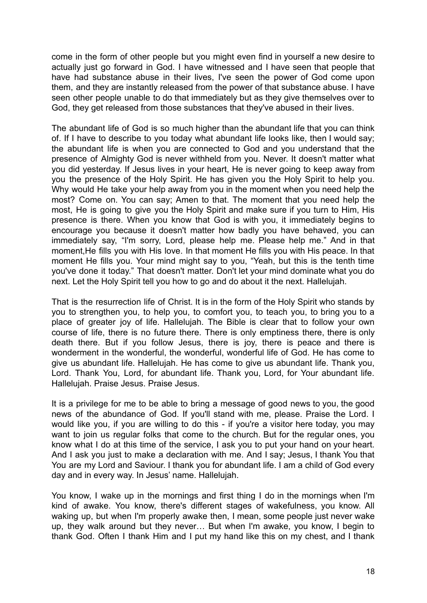come in the form of other people but you might even find in yourself a new desire to actually just go forward in God. I have witnessed and I have seen that people that have had substance abuse in their lives, I've seen the power of God come upon them, and they are instantly released from the power of that substance abuse. I have seen other people unable to do that immediately but as they give themselves over to God, they get released from those substances that they've abused in their lives.

The abundant life of God is so much higher than the abundant life that you can think of. If I have to describe to you today what abundant life looks like, then I would say; the abundant life is when you are connected to God and you understand that the presence of Almighty God is never withheld from you. Never. It doesn't matter what you did yesterday. If Jesus lives in your heart, He is never going to keep away from you the presence of the Holy Spirit. He has given you the Holy Spirit to help you. Why would He take your help away from you in the moment when you need help the most? Come on. You can say; Amen to that. The moment that you need help the most, He is going to give you the Holy Spirit and make sure if you turn to Him, His presence is there. When you know that God is with you, it immediately begins to encourage you because it doesn't matter how badly you have behaved, you can immediately say, "I'm sorry, Lord, please help me. Please help me." And in that moment,He fills you with His love. In that moment He fills you with His peace. In that moment He fills you. Your mind might say to you, "Yeah, but this is the tenth time you've done it today." That doesn't matter. Don't let your mind dominate what you do next. Let the Holy Spirit tell you how to go and do about it the next. Hallelujah.

That is the resurrection life of Christ. It is in the form of the Holy Spirit who stands by you to strengthen you, to help you, to comfort you, to teach you, to bring you to a place of greater joy of life. Hallelujah. The Bible is clear that to follow your own course of life, there is no future there. There is only emptiness there, there is only death there. But if you follow Jesus, there is joy, there is peace and there is wonderment in the wonderful, the wonderful, wonderful life of God. He has come to give us abundant life. Hallelujah. He has come to give us abundant life. Thank you, Lord. Thank You, Lord, for abundant life. Thank you, Lord, for Your abundant life. Hallelujah. Praise Jesus. Praise Jesus.

It is a privilege for me to be able to bring a message of good news to you, the good news of the abundance of God. If you'll stand with me, please. Praise the Lord. I would like you, if you are willing to do this - if you're a visitor here today, you may want to join us regular folks that come to the church. But for the regular ones, you know what I do at this time of the service, I ask you to put your hand on your heart. And I ask you just to make a declaration with me. And I say; Jesus, I thank You that You are my Lord and Saviour. I thank you for abundant life. I am a child of God every day and in every way. In Jesus' name. Hallelujah.

You know, I wake up in the mornings and first thing I do in the mornings when I'm kind of awake. You know, there's different stages of wakefulness, you know. All waking up, but when I'm properly awake then, I mean, some people just never wake up, they walk around but they never… But when I'm awake, you know, I begin to thank God. Often I thank Him and I put my hand like this on my chest, and I thank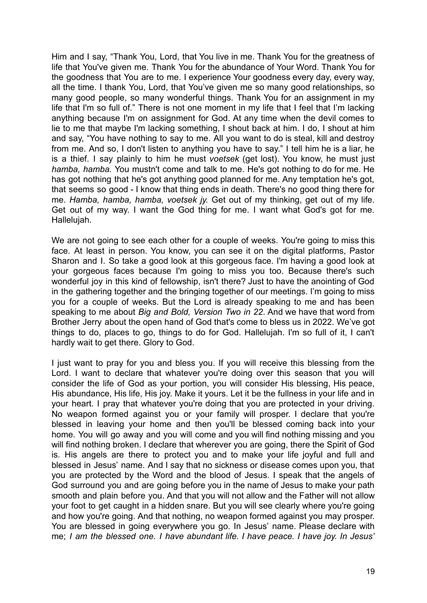Him and I say, "Thank You, Lord, that You live in me. Thank You for the greatness of life that You've given me. Thank You for the abundance of Your Word. Thank You for the goodness that You are to me. I experience Your goodness every day, every way, all the time. I thank You, Lord, that You've given me so many good relationships, so many good people, so many wonderful things. Thank You for an assignment in my life that I'm so full of." There is not one moment in my life that I feel that I'm lacking anything because I'm on assignment for God. At any time when the devil comes to lie to me that maybe I'm lacking something, I shout back at him. I do, I shout at him and say, "You have nothing to say to me. All you want to do is steal, kill and destroy from me. And so, I don't listen to anything you have to say." I tell him he is a liar, he is a thief. I say plainly to him he must *voetsek* (get lost). You know, he must just *hamba, hamba.* You mustn't come and talk to me. He's got nothing to do for me. He has got nothing that he's got anything good planned for me. Any temptation he's got, that seems so good - I know that thing ends in death. There's no good thing there for me. *Hamba, hamba, hamba, voetsek jy.* Get out of my thinking, get out of my life. Get out of my way. I want the God thing for me. I want what God's got for me. Hallelujah.

We are not going to see each other for a couple of weeks. You're going to miss this face. At least in person. You know, you can see it on the digital platforms, Pastor Sharon and I. So take a good look at this gorgeous face. I'm having a good look at your gorgeous faces because I'm going to miss you too. Because there's such wonderful joy in this kind of fellowship, isn't there? Just to have the anointing of God in the gathering together and the bringing together of our meetings. I'm going to miss you for a couple of weeks. But the Lord is already speaking to me and has been speaking to me about *Big and Bold, Version Two in 22*. And we have that word from Brother Jerry about the open hand of God that's come to bless us in 2022. We've got things to do, places to go, things to do for God. Hallelujah. I'm so full of it, I can't hardly wait to get there. Glory to God.

I just want to pray for you and bless you. If you will receive this blessing from the Lord. I want to declare that whatever you're doing over this season that you will consider the life of God as your portion, you will consider His blessing, His peace, His abundance, His life, His joy. Make it yours. Let it be the fullness in your life and in your heart. I pray that whatever you're doing that you are protected in your driving. No weapon formed against you or your family will prosper. I declare that you're blessed in leaving your home and then you'll be blessed coming back into your home. You will go away and you will come and you will find nothing missing and you will find nothing broken. I declare that wherever you are going, there the Spirit of God is. His angels are there to protect you and to make your life joyful and full and blessed in Jesus' name. And I say that no sickness or disease comes upon you, that you are protected by the Word and the blood of Jesus. I speak that the angels of God surround you and are going before you in the name of Jesus to make your path smooth and plain before you. And that you will not allow and the Father will not allow your foot to get caught in a hidden snare. But you will see clearly where you're going and how you're going. And that nothing, no weapon formed against you may prosper. You are blessed in going everywhere you go. In Jesus' name. Please declare with me; *I am the blessed one. I have abundant life. I have peace. I have joy. In Jesus'*